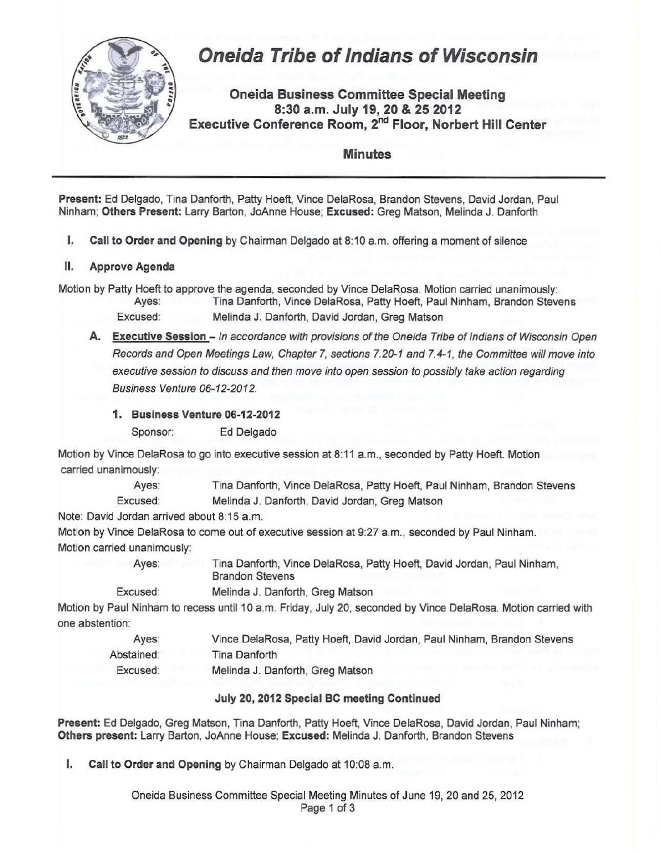

**Present:** Ed Delgado, Tina Danforth, Patty Hoeft, Vince DelaRosa, Brandon Stevens, David Jordan, Paul Ninham; **Others Present:** Larry Barton, JoAnne House; **Excused:** Greg Matson, Melinda J. Danforth

**I. Call to Order and Opening** by Chairman Delgado at 8:10a.m. offering a moment of silence

## **II. Approve Agenda**

Motion by Patty Hoeft to approve the agenda, seconded by Vince DelaRosa. Motion carried unanimously: Ayes: Tina Danforth, Vince DelaRosa, Patty Hoeft, Paul Ninham, Brandon Stevens

- Excused: Melinda J. Danforth, David Jordan, Greg Matson
- **A. Executive Session**  In accordance with provisions of the Oneida Tribe of Indians of Wisconsin Open Records and Open Meetings Law, Chapter 7, sections 7.20-1 and 7.4-1, the Committee will move into executive session to discuss and then move into open session to possibly take action regarding Business Venture 06-12-2012.
	- **1. Business Venture 06-12-2012**

Sponsor: Ed Delgado

Motion by Vince DelaRosa to go into executive session at 8:11a.m., seconded by Patty Hoeft. Motion carried unanimously:

> Ayes: Tina Danforth, Vince DelaRosa, Patty Hoeft, Paul Ninham, Brandon Stevens Excused: Melinda J. Danforth, David Jordan, Greg Matson

Note: David Jordan arrived about 8:15a.m.

Motion by Vince DelaRosa to come out of executive session at 9:27 a.m., seconded by Paul Ninham. Motion carried unanimously:

Ayes: Tina Danforth, Vince DelaRosa, Patty Hoeft, David Jordan, Paul Ninham, Brandon Stevens

Excused: Melinda J. Danforth, Greg Matson

Motion by Paul Ninham to recess until 10 a.m. Friday, July 20, seconded by Vince DelaRosa. Motion carried with one abstention:

| Ayes:      | Vince DelaRosa, Patty Hoeft, David Jordan, Paul Ninham, Brandon Stevens |  |
|------------|-------------------------------------------------------------------------|--|
| Abstained: | Tina Danforth                                                           |  |
| Excused:   | Melinda J. Danforth, Greg Matson                                        |  |

## **July 20, 2012 Special BC meeting Continued**

**Present:** Ed Delgado, Greg Matson, Tina Danforth, Patty Hoeft, Vince DelaRosa, David Jordan, Paul Ninham; **Others present:** Larry Barton, JoAnne House; **Excused:** Melinda J. Danforth, Brandon Stevens

**I. Call to Order and Opening** by Chairman Delgado at 10:08 a.m.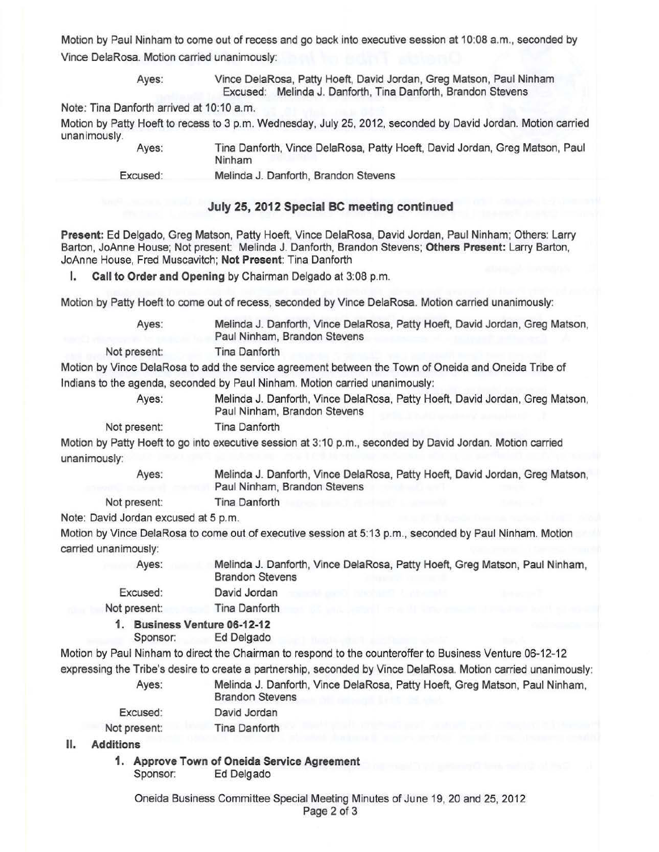Motion by Paul Ninham to come out of recess and go back into executive session at 10:08 a.m., seconded by Vince DelaRosa. Motion carried unanimously:

> Ayes: Vince DelaRosa, Patty Hoeft, David Jordan, Greg Matson, Paul Ninham Excused: Melinda J. Danforth, Tina Danforth, Brandon Stevens

Note: Tina Danforth arrived at 10:10 a.m.

Motion by Patty Hoeft to recess to 3 p.m. Wednesday, July 25, 2012, seconded by David Jordan. Motion carried unanimously. Tina Danforth, Vince DelaRosa, Patty Hoeft, David Jordan, Greg Matson, Paul

Ayes:

Excused: Melinda J. Danforth, Brandon Stevens

## July 25, 2012 Special BC meeting continued

Present: Ed Delgado, Greg Matson, Patty Hoeft, Vince DelaRosa, David Jordan, Paul Ninham; Others: Larry Barton, JoAnne House; Not present: Melinda J. Danforth, Brandon Stevens; Others Present: Larry Barton, JoAnne House, Fred Muscavitch; Not Present: Tina Danforth

I. Call to Order and Opening by Chairman Delgado at 3:08 p.m.

Ninham

Motion by Patty Hoeft to come out of recess, seconded by Vince DelaRosa. Motion carried unanimously:

Ayes: Melinda J. Danforth, Vince DelaRosa, Patty Hoeft, David Jordan, Greg Matson, Paul Ninham, Brandon Stevens

Not present: Tina Danforth

Motion by Vince DelaRosa to add the service agreement between the Town of Oneida and Oneida Tribe of Indians to the agenda, seconded by Paul Ninham. Motion carried unanimously:

Ayes: Melinda J. Danforth, Vince DelaRosa, Patty Hoeft, David Jordan, Greg Matson, Paul Ninham, Brandon Stevens

Not present: Tina Danforth

Motion by Patty Hoeft to go into executive session at 3:10p.m., seconded by David Jordan. Motion carried unanimously:

> Ayes: Melinda J. Danforth, Vince DelaRosa, Patty Hoeft, David Jordan, Greg Matson, Paul Ninham, Brandon Stevens

Not present: Tina Danforth

Note: David Jordan excused at 5 p.m.

Motion by Vince DelaRosa to come out of executive session at 5:13 p.m., seconded by Paul Ninham. Motion carried unanimously:

Ayes: Excused: Melinda J. Danforth, Vince DelaRosa, Patty Hoeft, Greg Matson, Paul Ninham, Brandon Stevens David Jordan

Not present: Tina Danforth

1. Business Venture 06-12-12

Sponsor: Ed Delgado

Motion by Paul Ninham to direct the Chairman to respond to the counteroffer to Business Venture 06-12-12 expressing the Tribe's desire to create a partnership, seconded by Vince DelaRosa. Motion carried unanimously: Ayes: Melinda J. Danforth, Vince DelaRosa, Patty Hoeft, Greg Matson, Paul Ninham,

| ryco.        | McMad J. Danul<br><b>Brandon Stevens</b> |
|--------------|------------------------------------------|
| Excused:     | David Jordan                             |
| Not present: | Tina Danforth                            |

II. Additions

1. Approve Town of Oneida Service Agreement Sponsor: Ed Delgado

Oneida Business Committee Special Meeting Minutes of June 19, 20 and 25, 2012 Page 2 of 3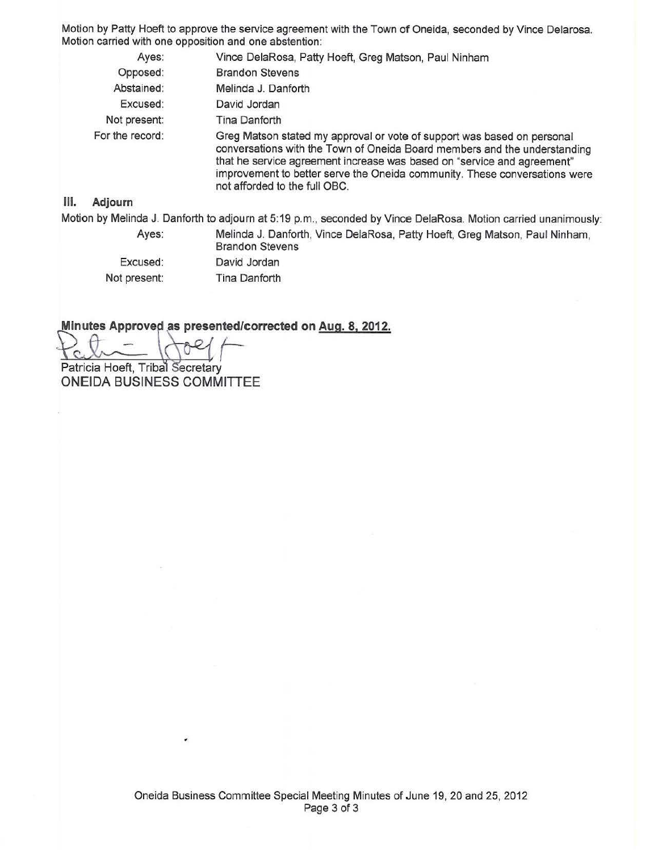Motion by Patty Hoeft to approve the service agreement with the Town of Oneida, seconded by Vince Delarosa. Motion carried with one opposition and one abstention:

|      | Ayes:           | Vince DelaRosa, Patty Hoeft, Greg Matson, Paul Ninham                                                                                                                                                                                                                                                                                          |
|------|-----------------|------------------------------------------------------------------------------------------------------------------------------------------------------------------------------------------------------------------------------------------------------------------------------------------------------------------------------------------------|
|      | Opposed:        | <b>Brandon Stevens</b>                                                                                                                                                                                                                                                                                                                         |
|      | Abstained:      | Melinda J. Danforth                                                                                                                                                                                                                                                                                                                            |
|      | Excused:        | David Jordan                                                                                                                                                                                                                                                                                                                                   |
|      | Not present:    | Tina Danforth                                                                                                                                                                                                                                                                                                                                  |
|      | For the record: | Greg Matson stated my approval or vote of support was based on personal<br>conversations with the Town of Oneida Board members and the understanding<br>that he service agreement increase was based on "service and agreement"<br>improvement to better serve the Oneida community. These conversations were<br>not afforded to the full OBC. |
| III. | Adjourn         |                                                                                                                                                                                                                                                                                                                                                |
|      |                 | Motion by Melinda J. Danforth to adjourn at 5:19 p.m., seconded by Vince DelaRosa. Motion carried unanimously:                                                                                                                                                                                                                                 |
|      | Ayes:           | Melinda J. Danforth, Vince DelaRosa, Patty Hoeft, Greg Matson, Paul Ninham,<br><b>Brandon Stevens</b>                                                                                                                                                                                                                                          |
|      | Francisco de    | Development of the second contract of                                                                                                                                                                                                                                                                                                          |

Excused: Not present: David Jordan Tina Danforth

**Minutes Approved as presented/corrected on Aug. 8, 2012.** 

Patricia Hoeft, Tribal Secretary

**ONEIDA BUSINESS COMMITTEE** 

 $\frac{1}{\sqrt{2}}$